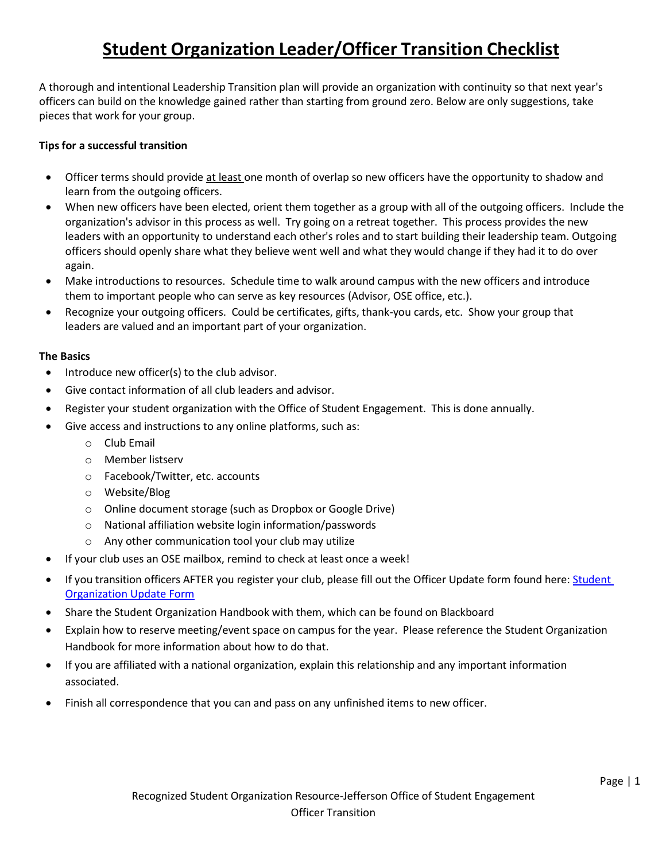# **Student Organization Leader/Officer Transition Checklist**

A thorough and intentional Leadership Transition plan will provide an organization with continuity so that next year's officers can build on the knowledge gained rather than starting from ground zero. Below are only suggestions, take pieces that work for your group.

## **Tips for a successful transition**

- Officer terms should provide at least one month of overlap so new officers have the opportunity to shadow and learn from the outgoing officers.
- When new officers have been elected, orient them together as a group with all of the outgoing officers. Include the organization's advisor in this process as well. Try going on a retreat together. This process provides the new leaders with an opportunity to understand each other's roles and to start building their leadership team. Outgoing officers should openly share what they believe went well and what they would change if they had it to do over again.
- Make introductions to resources. Schedule time to walk around campus with the new officers and introduce them to important people who can serve as key resources (Advisor, OSE office, etc.).
- Recognize your outgoing officers. Could be certificates, gifts, thank-you cards, etc. Show your group that leaders are valued and an important part of your organization.

#### **The Basics**

- Introduce new officer(s) to the club advisor.
- Give contact information of all club leaders and advisor.
- Register your student organization with the Office of Student Engagement. This is done annually.
- Give access and instructions to any online platforms, such as:
	- o Club Email
	- o Member listserv
	- o Facebook/Twitter, etc. accounts
	- o Website/Blog
	- o Online document storage (such as Dropbox or Google Drive)
	- o National affiliation website login information/passwords
	- o Any other communication tool your club may utilize
- If your club uses an OSE mailbox, remind to check at least once a week!
- If you transition officers AFTER you register your club, please fill out the Officer Update form found here: Student [Organization Update Form](https://goo.gl/forms/K2O3GywfiAeP0zlR2)
- Share the Student Organization Handbook with them, which can be found on Blackboard
- Explain how to reserve meeting/event space on campus for the year. Please reference the Student Organization Handbook for more information about how to do that.
- If you are affiliated with a national organization, explain this relationship and any important information associated.
- Finish all correspondence that you can and pass on any unfinished items to new officer.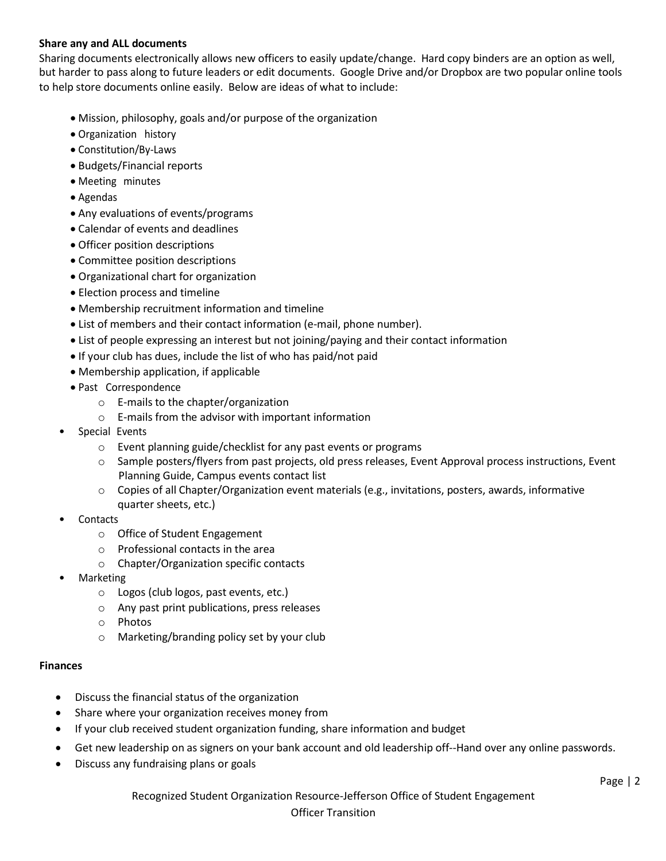#### **Share any and ALL documents**

Sharing documents electronically allows new officers to easily update/change. Hard copy binders are an option as well, but harder to pass along to future leaders or edit documents. Google Drive and/or Dropbox are two popular online tools to help store documents online easily. Below are ideas of what to include:

- Mission, philosophy, goals and/or purpose of the organization
- Organization history
- Constitution/By-Laws
- Budgets/Financial reports
- Meeting minutes
- Agendas
- Any evaluations of events/programs
- Calendar of events and deadlines
- Officer position descriptions
- Committee position descriptions
- Organizational chart for organization
- Election process and timeline
- Membership recruitment information and timeline
- List of members and their contact information (e-mail, phone number).
- List of people expressing an interest but not joining/paying and their contact information
- If your club has dues, include the list of who has paid/not paid
- Membership application, if applicable
- Past Correspondence
	- o E-mails to the chapter/organization
	- o E-mails from the advisor with important information
- Special Events
	- o Event planning guide/checklist for any past events or programs
	- o Sample posters/flyers from past projects, old press releases, Event Approval process instructions, Event Planning Guide, Campus events contact list
	- $\circ$  Copies of all Chapter/Organization event materials (e.g., invitations, posters, awards, informative quarter sheets, etc.)
- **Contacts** 
	- o Office of Student Engagement
	- o Professional contacts in the area
	- o Chapter/Organization specific contacts
- Marketing
	- o Logos (club logos, past events, etc.)
	- o Any past print publications, press releases
	- o Photos
	- o Marketing/branding policy set by your club

#### **Finances**

- Discuss the financial status of the organization
- Share where your organization receives money from
- If your club received student organization funding, share information and budget
- Get new leadership on as signers on your bank account and old leadership off--Hand over any online passwords.
- Discuss any fundraising plans or goals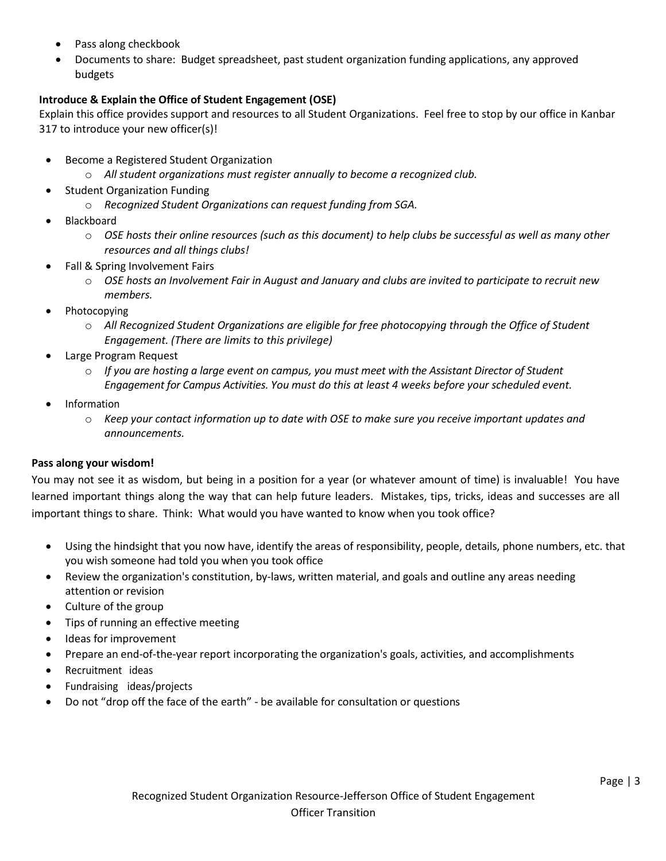- Pass along checkbook
- Documents to share: Budget spreadsheet, past student organization funding applications, any approved budgets

## **Introduce & Explain the Office of Student Engagement (OSE)**

Explain this office provides support and resources to all Student Organizations. Feel free to stop by our office in Kanbar 317 to introduce your new officer(s)!

- Become a Registered Student Organization
	- o *All student organizations must register annually to become a recognized club.*
- Student Organization Funding
	- o *Recognized Student Organizations can request funding from SGA.*
- Blackboard
	- o *OSE hosts their online resources (such as this document) to help clubs be successful as well as many other resources and all things clubs!*
- Fall & Spring Involvement Fairs
	- o *OSE hosts an Involvement Fair in August and January and clubs are invited to participate to recruit new members.*
- Photocopying
	- o *All Recognized Student Organizations are eligible for free photocopying through the Office of Student Engagement. (There are limits to this privilege)*
- Large Program Request
	- o *If you are hosting a large event on campus, you must meet with the Assistant Director of Student Engagement for Campus Activities. You must do this at least 4 weeks before your scheduled event.*
- Information
	- o *Keep your contact information up to date with OSE to make sure you receive important updates and announcements.*

#### **Pass along your wisdom!**

You may not see it as wisdom, but being in a position for a year (or whatever amount of time) is invaluable! You have learned important things along the way that can help future leaders. Mistakes, tips, tricks, ideas and successes are all important things to share. Think: What would you have wanted to know when you took office?

- Using the hindsight that you now have, identify the areas of responsibility, people, details, phone numbers, etc. that you wish someone had told you when you took office
- Review the organization's constitution, by-laws, written material, and goals and outline any areas needing attention or revision
- Culture of the group
- Tips of running an effective meeting
- Ideas for improvement
- Prepare an end-of-the-year report incorporating the organization's goals, activities, and accomplishments
- Recruitment ideas
- Fundraising ideas/projects
- Do not "drop off the face of the earth" be available for consultation or questions